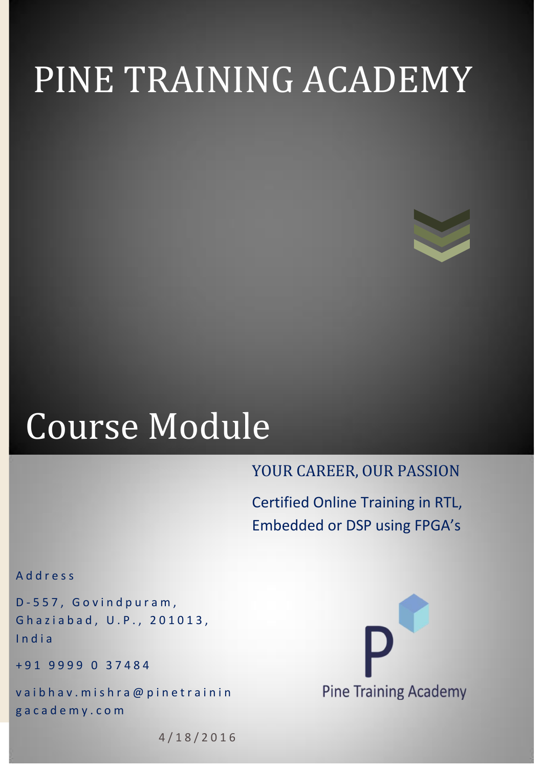# PINE TRAINING ACADEMY



## Course Module

## YOUR CAREER, OUR PASSION

Certified Online Training in RTL, Embedded or DSP using FPGA's

A d d r e s s

D - 5 5 7 , G o v i n d p u r a m , Ghaziabad, U.P., 201013, I n d i a

+ 9 1 9 9 9 9 0 3 7 4 8 4

vaibhav. mishra@pinetrainin g a c a d e m y . c o m



4 / 1 8 / 2 0 1 6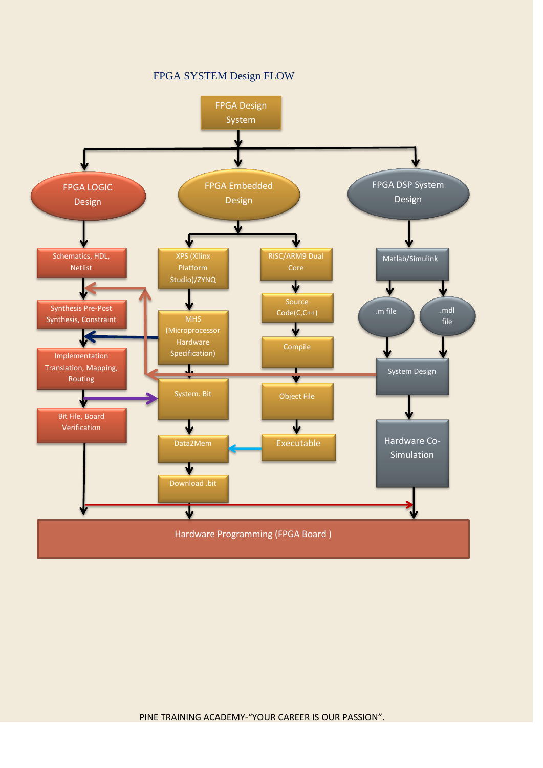#### FPGA SYSTEM Design FLOW



PINE TRAINING ACADEMY-"YOUR CAREER IS OUR PASSION".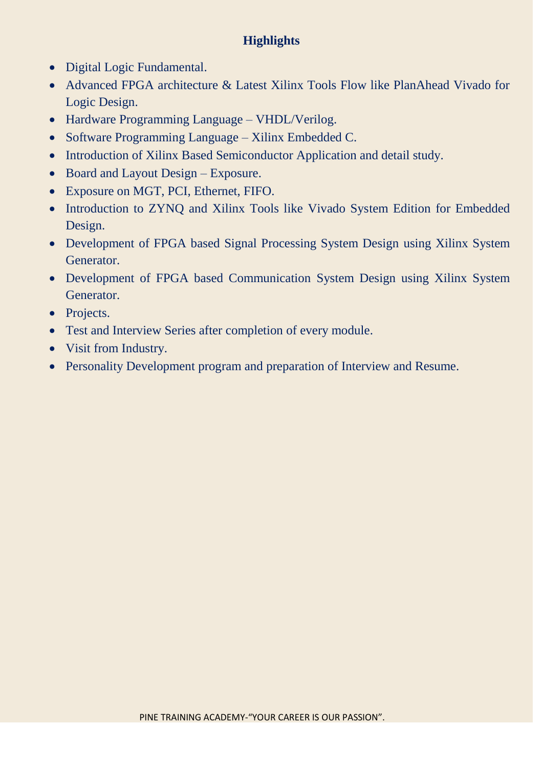### **Highlights**

- Digital Logic Fundamental.
- Advanced FPGA architecture & Latest Xilinx Tools Flow like PlanAhead Vivado for Logic Design.
- Hardware Programming Language VHDL/Verilog.
- Software Programming Language Xilinx Embedded C.
- Introduction of Xilinx Based Semiconductor Application and detail study.
- Board and Layout Design Exposure.
- Exposure on MGT, PCI, Ethernet, FIFO.
- Introduction to ZYNQ and Xilinx Tools like Vivado System Edition for Embedded Design.
- Development of FPGA based Signal Processing System Design using Xilinx System Generator.
- Development of FPGA based Communication System Design using Xilinx System Generator.
- Projects.
- Test and Interview Series after completion of every module.
- Visit from Industry.
- Personality Development program and preparation of Interview and Resume.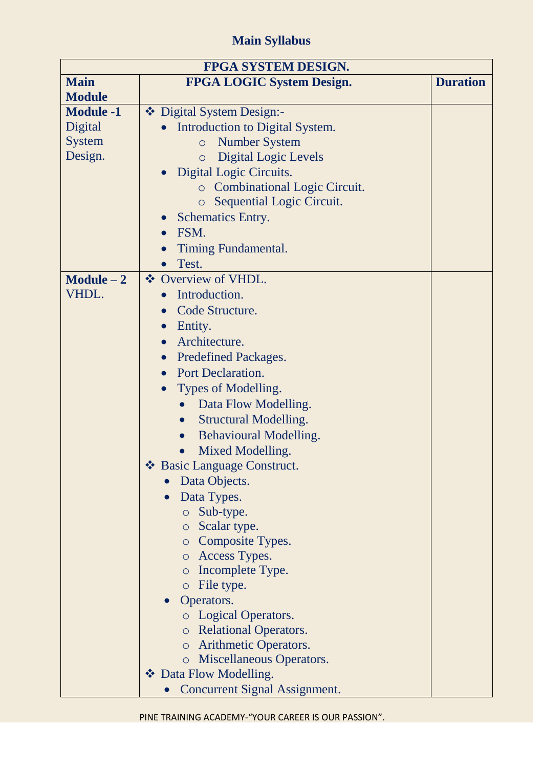## **Main Syllabus**

| <b>FPGA SYSTEM DESIGN.</b> |                                                   |                 |
|----------------------------|---------------------------------------------------|-----------------|
| <b>Main</b>                | <b>FPGA LOGIC System Design.</b>                  | <b>Duration</b> |
| <b>Module</b>              |                                                   |                 |
| <b>Module -1</b>           | ❖ Digital System Design:-                         |                 |
| Digital                    | Introduction to Digital System.                   |                 |
| <b>System</b>              | <b>Number System</b><br>$\circ$                   |                 |
| Design.                    | <b>Digital Logic Levels</b><br>$\circ$            |                 |
|                            | Digital Logic Circuits.<br>$\bullet$              |                 |
|                            | <b>c</b> Combinational Logic Circuit.             |                 |
|                            | Sequential Logic Circuit.<br>$\circ$              |                 |
|                            | <b>Schematics Entry.</b>                          |                 |
|                            | FSM.<br>$\bullet$                                 |                 |
|                            | Timing Fundamental.                               |                 |
|                            | Test.                                             |                 |
| $Module - 2$               | ❖ Overview of VHDL.                               |                 |
| VHDL.                      | Introduction.                                     |                 |
|                            | Code Structure.<br>$\bullet$                      |                 |
|                            | Entity.<br>$\bullet$                              |                 |
|                            | Architecture.<br>$\bullet$                        |                 |
|                            | <b>Predefined Packages.</b><br>$\bullet$          |                 |
|                            | • Port Declaration.                               |                 |
|                            |                                                   |                 |
|                            | Types of Modelling.                               |                 |
|                            | Data Flow Modelling.                              |                 |
|                            | <b>Structural Modelling.</b><br>$\bullet$         |                 |
|                            | <b>Behavioural Modelling.</b><br>$\bullet$        |                 |
|                            | Mixed Modelling.                                  |                 |
|                            | $\frac{1}{2}$<br><b>Basic Language Construct.</b> |                 |
|                            | Data Objects.                                     |                 |
|                            | Data Types.                                       |                 |
|                            | o Sub-type.                                       |                 |
|                            | o Scalar type.                                    |                 |
|                            | <b>O</b> Composite Types.                         |                 |
|                            | o Access Types.                                   |                 |
|                            | Incomplete Type.<br>$\circ$                       |                 |
|                            | $\circ$ File type.                                |                 |
|                            | Operators.                                        |                 |
|                            | <b>Logical Operators.</b>                         |                 |
|                            | o Relational Operators.                           |                 |
|                            | o Arithmetic Operators.                           |                 |
|                            | Miscellaneous Operators.<br>$\circ$               |                 |
|                            | ❖ Data Flow Modelling.                            |                 |
|                            | <b>Concurrent Signal Assignment.</b>              |                 |

PINE TRAINING ACADEMY-"YOUR CAREER IS OUR PASSION".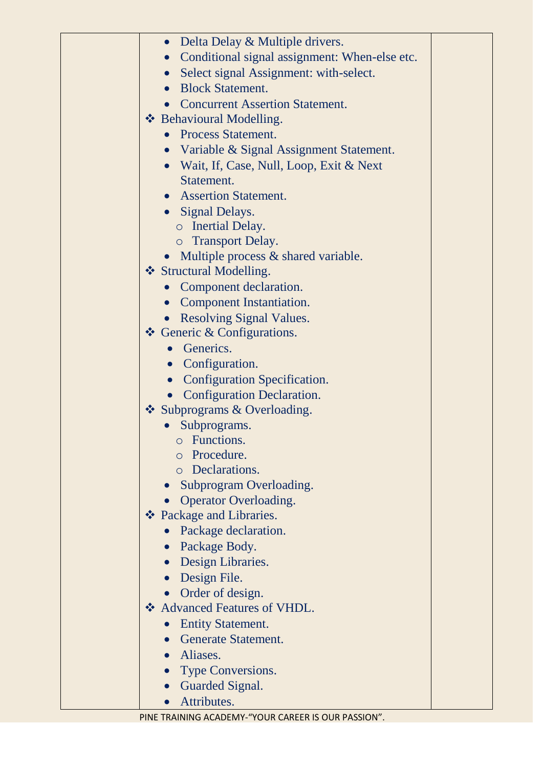| • Delta Delay & Multiple drivers.                          |  |
|------------------------------------------------------------|--|
| Conditional signal assignment: When-else etc.<br>$\bullet$ |  |
| Select signal Assignment: with-select.<br>$\bullet$        |  |
| <b>Block Statement.</b>                                    |  |
| <b>Concurrent Assertion Statement.</b>                     |  |
| ❖ Behavioural Modelling.                                   |  |
| <b>Process Statement.</b>                                  |  |
| • Variable & Signal Assignment Statement.                  |  |
| • Wait, If, Case, Null, Loop, Exit & Next                  |  |
| Statement.                                                 |  |
| • Assertion Statement.                                     |  |
| • Signal Delays.                                           |  |
| o Inertial Delay.                                          |  |
| o Transport Delay.                                         |  |
| Multiple process & shared variable.                        |  |
| ❖ Structural Modelling.                                    |  |
| Component declaration.                                     |  |
| • Component Instantiation.                                 |  |
| • Resolving Signal Values.                                 |  |
| $\triangle$ Generic & Configurations.                      |  |
| • Generics.                                                |  |
| • Configuration.                                           |  |
| • Configuration Specification.                             |  |
| <b>Configuration Declaration.</b>                          |  |
| ❖ Subprograms & Overloading.                               |  |
| Subprograms.                                               |  |
| $\circ$ Functions                                          |  |
| Procedure.                                                 |  |
| o Declarations.                                            |  |
| Subprogram Overloading.                                    |  |
| <b>Operator Overloading.</b>                               |  |
| ❖ Package and Libraries.                                   |  |
| Package declaration.                                       |  |
| • Package Body.                                            |  |
| Design Libraries.<br>$\bullet$                             |  |
| Design File.                                               |  |
| Order of design.                                           |  |
| ❖ Advanced Features of VHDL.                               |  |
| <b>Entity Statement.</b><br>$\bullet$                      |  |
| • Generate Statement.                                      |  |
| · Aliases.                                                 |  |
| Type Conversions.                                          |  |
| Guarded Signal.<br>$\bullet$                               |  |
| Attributes.                                                |  |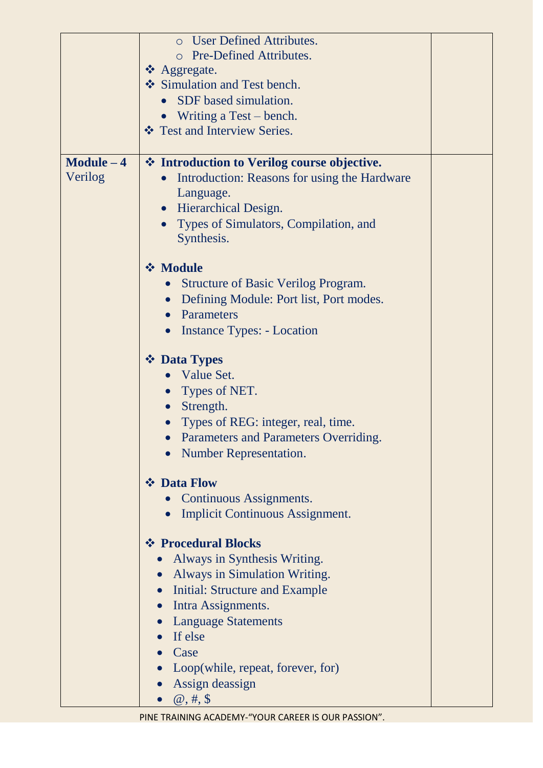|              | <b>O</b> User Defined Attributes.            |
|--------------|----------------------------------------------|
|              | Pre-Defined Attributes.                      |
|              | ❖ Aggregate.                                 |
|              | Simulation and Test bench.                   |
|              | SDF based simulation.<br>$\bullet$           |
|              | • Writing a Test – bench.                    |
|              | ❖ Test and Interview Series.                 |
|              |                                              |
| $Module - 4$ | ❖ Introduction to Verilog course objective.  |
| Verilog      | Introduction: Reasons for using the Hardware |
|              | Language.                                    |
|              | • Hierarchical Design.                       |
|              | Types of Simulators, Compilation, and        |
|              | Synthesis.                                   |
|              |                                              |
|              | <b>❖ Module</b>                              |
|              | <b>Structure of Basic Verilog Program.</b>   |
|              | Defining Module: Port list, Port modes.      |
|              | Parameters                                   |
|              | Instance Types: - Location<br>$\bullet$      |
|              |                                              |
|              | ❖ Data Types                                 |
|              | Value Set.                                   |
|              | Types of NET.                                |
|              | Strength.<br>$\bullet$                       |
|              | • Types of REG: integer, real, time.         |
|              | <b>Parameters and Parameters Overriding</b>  |
|              | <b>Number Representation.</b>                |
|              | ❖ Data Flow                                  |
|              | Continuous Assignments.                      |
|              | <b>Implicit Continuous Assignment.</b>       |
|              |                                              |
|              | ❖ Procedural Blocks                          |
|              | Always in Synthesis Writing.                 |
|              | <b>Always in Simulation Writing.</b>         |
|              | <b>Initial: Structure and Example</b>        |
|              | Intra Assignments.                           |
|              | <b>Language Statements</b>                   |
|              | If else                                      |
|              | Case                                         |
|              | Loop(while, repeat, forever, for)            |
|              | Assign deassign                              |
|              | $\omega, \#$ , \$                            |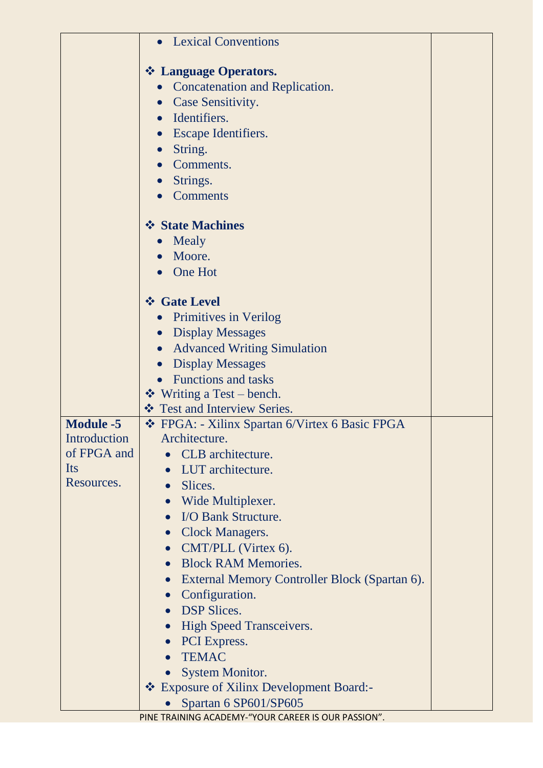|                  | • Lexical Conventions                                          |  |
|------------------|----------------------------------------------------------------|--|
|                  |                                                                |  |
|                  | ❖ Language Operators.<br><b>Concatenation and Replication.</b> |  |
|                  |                                                                |  |
|                  | • Case Sensitivity.<br>Identifiers.                            |  |
|                  | $\bullet$                                                      |  |
|                  | <b>Escape Identifiers.</b><br>$\bullet$                        |  |
|                  | String.<br>$\bullet$                                           |  |
|                  | Comments.                                                      |  |
|                  | Strings.                                                       |  |
|                  | <b>Comments</b>                                                |  |
|                  | ❖ State Machines                                               |  |
|                  | Mealy<br>$\bullet$                                             |  |
|                  | Moore.                                                         |  |
|                  | One Hot                                                        |  |
|                  | ❖ Gate Level                                                   |  |
|                  | • Primitives in Verilog                                        |  |
|                  | <b>Display Messages</b>                                        |  |
|                  | <b>Advanced Writing Simulation</b><br>$\bullet$                |  |
|                  | <b>Display Messages</b><br>$\bullet$                           |  |
|                  | <b>Functions and tasks</b><br>$\bullet$                        |  |
|                  | ❖ Writing a Test – bench.                                      |  |
|                  | ❖ Test and Interview Series.                                   |  |
| <b>Module -5</b> | ❖ FPGA: - Xilinx Spartan 6/Virtex 6 Basic FPGA                 |  |
| Introduction     | Architecture                                                   |  |
| of FPGA and      | CLB architecture.                                              |  |
| Its              | LUT architecture.                                              |  |
| Resources.       | Slices.<br>$\bullet$                                           |  |
|                  | Wide Multiplexer.<br>$\bullet$                                 |  |
|                  | I/O Bank Structure.<br>$\bullet$                               |  |
|                  | <b>Clock Managers.</b><br>$\bullet$                            |  |
|                  | • CMT/PLL (Virtex 6).                                          |  |
|                  | <b>Block RAM Memories.</b><br>$\bullet$                        |  |
|                  | External Memory Controller Block (Spartan 6).<br>$\bullet$     |  |
|                  | Configuration.<br>$\bullet$                                    |  |
|                  | <b>DSP Slices.</b>                                             |  |
|                  | <b>High Speed Transceivers.</b><br>$\bullet$                   |  |
|                  | PCI Express.<br>$\bullet$                                      |  |
|                  | <b>TEMAC</b>                                                   |  |
|                  | <b>System Monitor.</b>                                         |  |
|                  | * Exposure of Xilinx Development Board:-                       |  |
|                  | Spartan 6 SP601/SP605                                          |  |
|                  | PINE TRAINING ACADEMY-"YOUR CAREER IS OUR PASSION".            |  |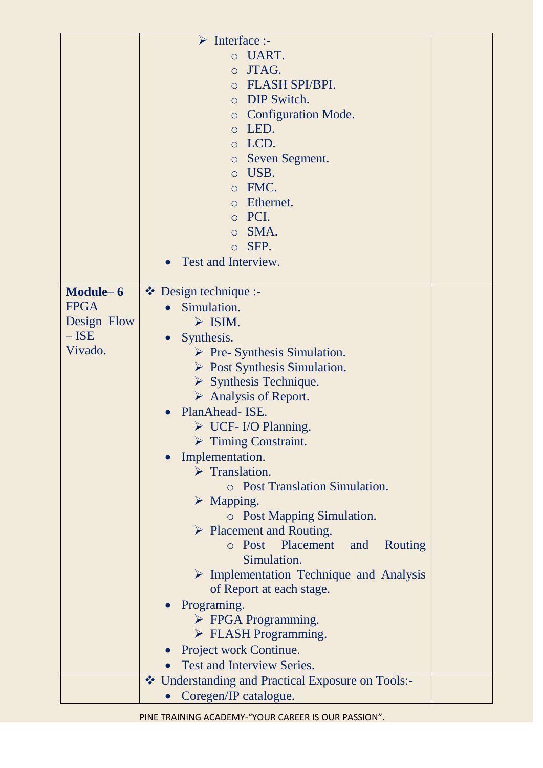|             | $\triangleright$ Interface :-                          |
|-------------|--------------------------------------------------------|
|             | UART.<br>$\circ$                                       |
|             | JTAG.<br>$\circ$                                       |
|             | <b>FLASH SPI/BPI.</b><br>$\Omega$                      |
|             | DIP Switch.<br>$\circ$                                 |
|             | <b>Configuration Mode.</b><br>$\circ$                  |
|             | LED.<br>$\circ$                                        |
|             | LCD.<br>$\circ$                                        |
|             | Seven Segment.<br>$\circ$                              |
|             | USB.<br>$\circ$                                        |
|             | FMC.<br>$\circ$                                        |
|             | Ethernet.<br>$\circ$                                   |
|             | PCI.<br>$\circ$                                        |
|             | SMA.<br>$\circ$                                        |
|             | SFP.<br>$\circ$                                        |
|             | Test and Interview.                                    |
|             |                                                        |
| Module-6    | $\bullet$ Design technique :-                          |
| <b>FPGA</b> | Simulation.                                            |
| Design Flow | $\triangleright$ ISIM.                                 |
| $-$ ISE     | Synthesis.<br>$\bullet$                                |
| Vivado.     | $\triangleright$ Pre- Synthesis Simulation.            |
|             | $\triangleright$ Post Synthesis Simulation.            |
|             | $\triangleright$ Synthesis Technique.                  |
|             | $\triangleright$ Analysis of Report.                   |
|             | PlanAhead- ISE.<br>$\bullet$                           |
|             | $\triangleright$ UCF-I/O Planning.                     |
|             | <b>Timing Constraint.</b>                              |
|             | Implementation.                                        |
|             | $\triangleright$ Translation.                          |
|             | <b>O</b> Post Translation Simulation.                  |
|             | $\triangleright$ Mapping.                              |
|             | <b>O</b> Post Mapping Simulation.                      |
|             | $\triangleright$ Placement and Routing.                |
|             | o Post Placement<br>Routing<br>and                     |
|             | Simulation.                                            |
|             | $\triangleright$ Implementation Technique and Analysis |
|             | of Report at each stage.                               |
|             | Programing.                                            |
|             | $\triangleright$ FPGA Programming.                     |
|             | $\triangleright$ FLASH Programming.                    |
|             | Project work Continue.                                 |
|             | Test and Interview Series.                             |
|             | ❖ Understanding and Practical Exposure on Tools:-      |
|             | Coregen/IP catalogue.                                  |

PINE TRAINING ACADEMY-"YOUR CAREER IS OUR PASSION".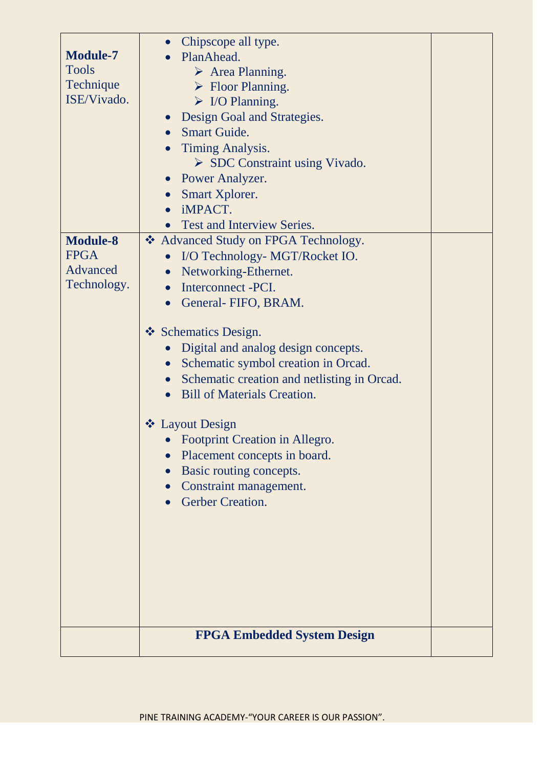|                 | Chipscope all type.<br>$\bullet$                                                    |  |
|-----------------|-------------------------------------------------------------------------------------|--|
| <b>Module-7</b> | PlanAhead.                                                                          |  |
| <b>Tools</b>    | $\triangleright$ Area Planning.                                                     |  |
| Technique       | $\triangleright$ Floor Planning.                                                    |  |
| ISE/Vivado.     | $\triangleright$ I/O Planning.                                                      |  |
|                 | Design Goal and Strategies.                                                         |  |
|                 | <b>Smart Guide.</b><br>$\bullet$                                                    |  |
|                 | Timing Analysis.                                                                    |  |
|                 | $\triangleright$ SDC Constraint using Vivado.                                       |  |
|                 | • Power Analyzer.                                                                   |  |
|                 | Smart Xplorer.                                                                      |  |
|                 | iMPACT.<br>$\bullet$                                                                |  |
|                 | <b>Test and Interview Series.</b>                                                   |  |
| <b>Module-8</b> | * Advanced Study on FPGA Technology.                                                |  |
| <b>FPGA</b>     | I/O Technology- MGT/Rocket IO.                                                      |  |
| Advanced        | Networking-Ethernet.<br>$\bullet$                                                   |  |
| Technology.     | Interconnect - PCI.<br>$\bullet$                                                    |  |
|                 | General-FIFO, BRAM.<br>$\bullet$                                                    |  |
|                 | ❖ Schematics Design.                                                                |  |
|                 | Digital and analog design concepts.<br>$\bullet$                                    |  |
|                 |                                                                                     |  |
|                 | Schematic symbol creation in Orcad.<br>$\bullet$                                    |  |
|                 | • Schematic creation and netlisting in Orcad.<br><b>Bill of Materials Creation.</b> |  |
|                 |                                                                                     |  |
|                 | ❖ Layout Design                                                                     |  |
|                 | • Footprint Creation in Allegro                                                     |  |
|                 | Placement concepts in board.                                                        |  |
|                 | Basic routing concepts.                                                             |  |
|                 | Constraint management.                                                              |  |
|                 | <b>Gerber Creation.</b>                                                             |  |
|                 |                                                                                     |  |
|                 |                                                                                     |  |
|                 |                                                                                     |  |
|                 |                                                                                     |  |
|                 |                                                                                     |  |
|                 |                                                                                     |  |
|                 |                                                                                     |  |
|                 | <b>FPGA Embedded System Design</b>                                                  |  |
|                 |                                                                                     |  |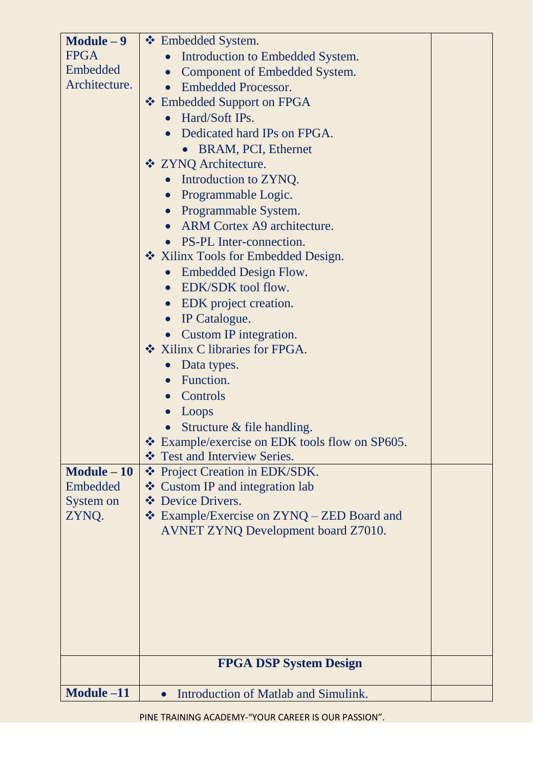| $Module - 9$  | ❖ Embedded System.                                                                       |  |
|---------------|------------------------------------------------------------------------------------------|--|
| <b>FPGA</b>   | Introduction to Embedded System.                                                         |  |
| Embedded      | Component of Embedded System.                                                            |  |
| Architecture. | <b>Embedded Processor.</b><br>$\bullet$                                                  |  |
|               | ❖ Embedded Support on FPGA                                                               |  |
|               | Hard/Soft IPs.                                                                           |  |
|               | Dedicated hard IPs on FPGA.                                                              |  |
|               | • BRAM, PCI, Ethernet                                                                    |  |
|               | ❖ ZYNQ Architecture.                                                                     |  |
|               | Introduction to ZYNQ.                                                                    |  |
|               | Programmable Logic.<br>$\bullet$                                                         |  |
|               | • Programmable System.                                                                   |  |
|               | ARM Cortex A9 architecture.                                                              |  |
|               | • PS-PL Inter-connection.                                                                |  |
|               | Xilinx Tools for Embedded Design.                                                        |  |
|               | Embedded Design Flow.<br>$\bullet$                                                       |  |
|               | EDK/SDK tool flow.<br>$\bullet$                                                          |  |
|               | EDK project creation.<br>$\bullet$                                                       |  |
|               | IP Catalogue.<br>$\bullet$                                                               |  |
|               | <b>Custom IP integration.</b>                                                            |  |
|               | ❖ Xilinx C libraries for FPGA.                                                           |  |
|               | Data types.<br>$\bullet$                                                                 |  |
|               | Function.<br>$\bullet$                                                                   |  |
|               | Controls<br>$\bullet$                                                                    |  |
|               | Loops<br>$\bullet$                                                                       |  |
|               | Structure & file handling.                                                               |  |
|               | ❖ Example/exercise on EDK tools flow on SP605.                                           |  |
|               | ❖ Test and Interview Series.                                                             |  |
| $Module - 10$ | ❖ Project Creation in EDK/SDK.                                                           |  |
| Embedded      | ❖ Custom IP and integration lab                                                          |  |
| System on     | ❖ Device Drivers.                                                                        |  |
| ZYNQ.         | ❖ Example/Exercise on ZYNQ – ZED Board and<br><b>AVNET ZYNQ Development board Z7010.</b> |  |
|               |                                                                                          |  |
|               |                                                                                          |  |
|               |                                                                                          |  |
|               |                                                                                          |  |
|               |                                                                                          |  |
|               |                                                                                          |  |
|               |                                                                                          |  |
|               |                                                                                          |  |
|               | <b>FPGA DSP System Design</b>                                                            |  |
| Module -11    | Introduction of Matlab and Simulink.                                                     |  |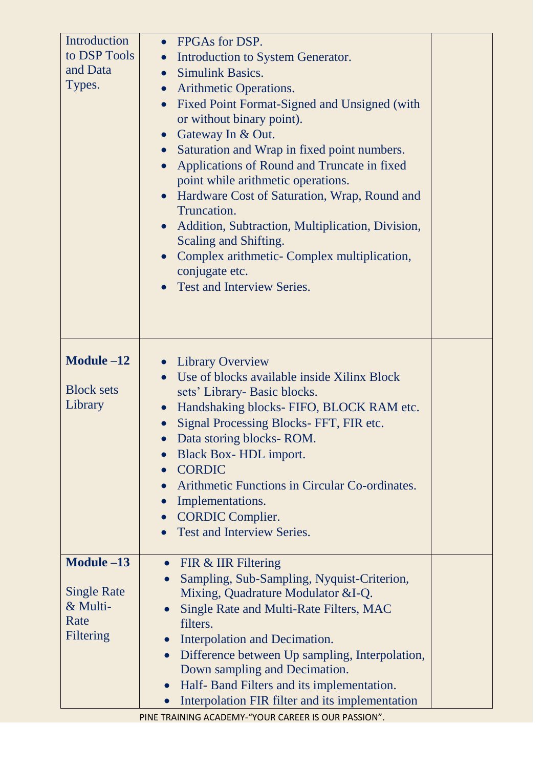| Introduction<br>to DSP Tools<br>and Data<br>Types.                         | FPGAs for DSP.<br>$\bullet$<br>Introduction to System Generator.<br><b>Simulink Basics.</b><br>$\bullet$<br>Arithmetic Operations.<br>$\bullet$<br>Fixed Point Format-Signed and Unsigned (with<br>$\bullet$<br>or without binary point).<br>• Gateway In & Out.<br>Saturation and Wrap in fixed point numbers.<br>$\bullet$<br>Applications of Round and Truncate in fixed<br>point while arithmetic operations.<br>Hardware Cost of Saturation, Wrap, Round and<br>$\bullet$<br>Truncation.<br>Addition, Subtraction, Multiplication, Division,<br>$\bullet$<br>Scaling and Shifting.<br>Complex arithmetic- Complex multiplication,<br>conjugate etc.<br><b>Test and Interview Series.</b> |  |
|----------------------------------------------------------------------------|-----------------------------------------------------------------------------------------------------------------------------------------------------------------------------------------------------------------------------------------------------------------------------------------------------------------------------------------------------------------------------------------------------------------------------------------------------------------------------------------------------------------------------------------------------------------------------------------------------------------------------------------------------------------------------------------------|--|
| Module -12<br><b>Block sets</b><br>Library                                 | • Library Overview<br>Use of blocks available inside Xilinx Block<br>sets' Library- Basic blocks.<br>Handshaking blocks- FIFO, BLOCK RAM etc.<br>Signal Processing Blocks-FFT, FIR etc.<br>• Data storing blocks-ROM.<br>Black Box-HDL import.<br><b>CORDIC</b><br>Arithmetic Functions in Circular Co-ordinates.<br>Implementations.<br>$\bullet$<br><b>CORDIC Complier.</b><br><b>Test and Interview Series.</b>                                                                                                                                                                                                                                                                            |  |
| Module $-13$<br><b>Single Rate</b><br>& Multi-<br>Rate<br><b>Filtering</b> | FIR & IIR Filtering<br>$\bullet$<br>Sampling, Sub-Sampling, Nyquist-Criterion,<br>Mixing, Quadrature Modulator &I-Q.<br><b>Single Rate and Multi-Rate Filters, MAC</b><br>filters.<br>Interpolation and Decimation.<br>Difference between Up sampling, Interpolation,<br>$\bullet$<br>Down sampling and Decimation.<br>Half- Band Filters and its implementation.<br>$\bullet$<br>Interpolation FIR filter and its implementation<br>$\bullet$                                                                                                                                                                                                                                                |  |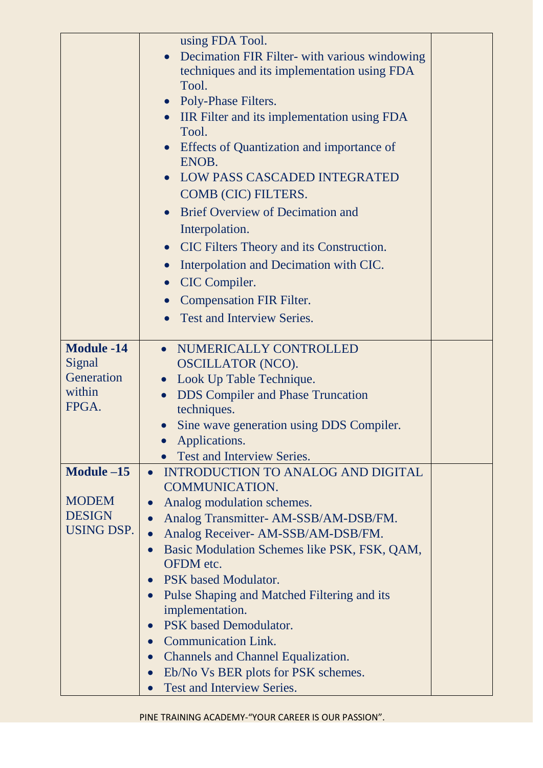|                   | using FDA Tool.                                           |  |
|-------------------|-----------------------------------------------------------|--|
|                   | Decimation FIR Filter- with various windowing             |  |
|                   | techniques and its implementation using FDA               |  |
|                   | Tool.                                                     |  |
|                   | • Poly-Phase Filters.                                     |  |
|                   | <b>IIR Filter and its implementation using FDA</b>        |  |
|                   | Tool.                                                     |  |
|                   | Effects of Quantization and importance of                 |  |
|                   | ENOB.                                                     |  |
|                   | <b>LOW PASS CASCADED INTEGRATED</b>                       |  |
|                   | COMB (CIC) FILTERS.                                       |  |
|                   | <b>Brief Overview of Decimation and</b>                   |  |
|                   | Interpolation.                                            |  |
|                   | CIC Filters Theory and its Construction.<br>$\bullet$     |  |
|                   | Interpolation and Decimation with CIC.<br>$\bullet$       |  |
|                   | CIC Compiler.<br>$\bullet$                                |  |
|                   | <b>Compensation FIR Filter.</b><br>$\bullet$              |  |
|                   | <b>Test and Interview Series.</b>                         |  |
|                   |                                                           |  |
| <b>Module -14</b> | NUMERICALLY CONTROLLED<br>$\bullet$                       |  |
| Signal            | <b>OSCILLATOR (NCO).</b>                                  |  |
| Generation        | Look Up Table Technique.<br>$\bullet$                     |  |
| within            | <b>DDS</b> Compiler and Phase Truncation<br>$\bullet$     |  |
| FPGA.             | techniques.                                               |  |
|                   | Sine wave generation using DDS Compiler.                  |  |
|                   | Applications.                                             |  |
|                   | <b>Test and Interview Series.</b>                         |  |
| Module $-15$      | <b>INTRODUCTION TO ANALOG AND DIGITAL</b><br>$\bullet$    |  |
|                   | <b>COMMUNICATION.</b>                                     |  |
| <b>MODEM</b>      | Analog modulation schemes.                                |  |
| <b>DESIGN</b>     | Analog Transmitter-AM-SSB/AM-DSB/FM.                      |  |
| <b>USING DSP.</b> | Analog Receiver- AM-SSB/AM-DSB/FM.                        |  |
|                   | Basic Modulation Schemes like PSK, FSK, QAM,<br>$\bullet$ |  |
|                   | OFDM etc.                                                 |  |
|                   | PSK based Modulator.<br>$\bullet$                         |  |
|                   | Pulse Shaping and Matched Filtering and its               |  |
|                   | implementation.<br>PSK based Demodulator.                 |  |
|                   | $\bullet$<br><b>Communication Link.</b><br>$\bullet$      |  |
|                   |                                                           |  |
|                   | <b>Channels and Channel Equalization.</b><br>$\bullet$    |  |
|                   | Eb/No Vs BER plots for PSK schemes.<br>$\bullet$          |  |
|                   | Test and Interview Series.                                |  |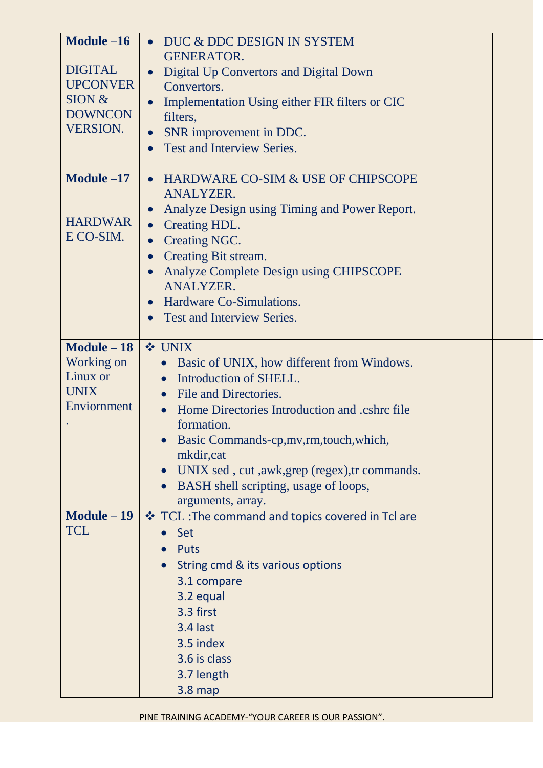| Module $-16$<br><b>DIGITAL</b><br><b>UPCONVER</b><br>SION &<br><b>DOWNCON</b><br><b>VERSION.</b> | DUC & DDC DESIGN IN SYSTEM<br>$\bullet$<br><b>GENERATOR.</b><br>Digital Up Convertors and Digital Down<br>$\bullet$<br>Convertors.<br>Implementation Using either FIR filters or CIC<br>$\bullet$<br>filters,<br>SNR improvement in DDC.<br>$\bullet$<br><b>Test and Interview Series.</b><br>$\bullet$                                                                                                                 |  |
|--------------------------------------------------------------------------------------------------|-------------------------------------------------------------------------------------------------------------------------------------------------------------------------------------------------------------------------------------------------------------------------------------------------------------------------------------------------------------------------------------------------------------------------|--|
| Module -17<br><b>HARDWAR</b><br>E CO-SIM.                                                        | HARDWARE CO-SIM & USE OF CHIPSCOPE<br>$\bullet$<br><b>ANALYZER.</b><br>Analyze Design using Timing and Power Report.<br>$\bullet$<br>Creating HDL.<br>$\bullet$<br>Creating NGC.<br>$\bullet$<br><b>Creating Bit stream.</b><br>$\bullet$<br><b>Analyze Complete Design using CHIPSCOPE</b><br>$\bullet$<br><b>ANALYZER.</b><br>Hardware Co-Simulations.<br>$\bullet$<br><b>Test and Interview Series.</b><br>$\bullet$ |  |
| $Module - 18$<br>Working on<br>Linux or<br><b>UNIX</b><br>Enviornment                            | <b>❖ UNIX</b><br>Basic of UNIX, how different from Windows.<br>$\bullet$<br>Introduction of SHELL.<br>$\bullet$<br>• File and Directories.<br>Home Directories Introduction and .cshrc file<br>$\bullet$<br>formation.<br>Basic Commands-cp, mv, rm, touch, which,<br>mkdir, cat<br>UNIX sed, cut, awk, grep (regex), tr commands.<br>BASH shell scripting, usage of loops,<br>arguments, array.                        |  |
| $Module - 19$<br><b>TCL</b>                                                                      | ❖ TCL : The command and topics covered in Tcl are<br>Set<br><b>Puts</b><br>String cmd & its various options<br>3.1 compare<br>3.2 equal<br>3.3 first<br>3.4 last<br>3.5 index<br>3.6 is class<br>3.7 length<br>$3.8$ map                                                                                                                                                                                                |  |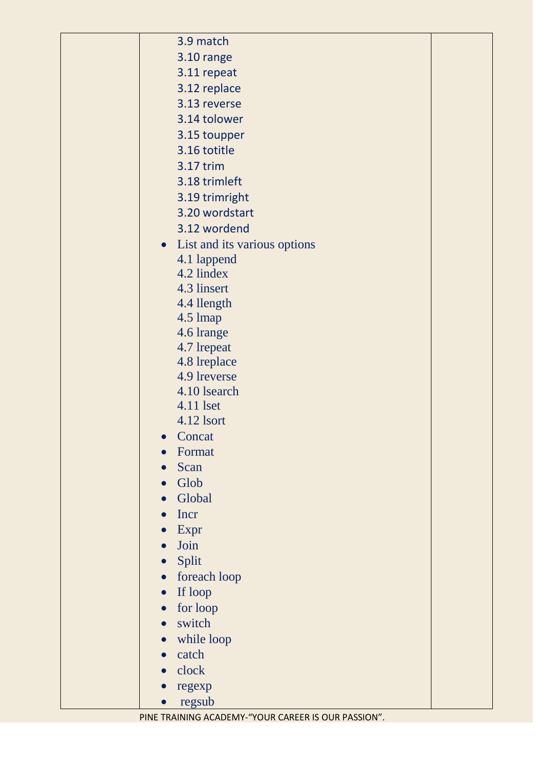|  | 3.9 match                      |  |
|--|--------------------------------|--|
|  | 3.10 range                     |  |
|  | 3.11 repeat                    |  |
|  | 3.12 replace                   |  |
|  | 3.13 reverse                   |  |
|  | 3.14 tolower                   |  |
|  | 3.15 toupper                   |  |
|  | 3.16 totitle                   |  |
|  | 3.17 trim                      |  |
|  | 3.18 trimleft                  |  |
|  | 3.19 trimright                 |  |
|  | 3.20 wordstart                 |  |
|  | 3.12 wordend                   |  |
|  | • List and its various options |  |
|  | 4.1 lappend                    |  |
|  | 4.2 lindex                     |  |
|  | 4.3 linsert                    |  |
|  | 4.4 llength                    |  |
|  | 4.5 lmap                       |  |
|  | 4.6 lrange                     |  |
|  | 4.7 lrepeat                    |  |
|  | 4.8 lreplace                   |  |
|  | 4.9 lreverse                   |  |
|  | 4.10 lsearch                   |  |
|  | 4.11 lset                      |  |
|  | 4.12 lsort                     |  |
|  | Concat<br>$\bullet$            |  |
|  | Format                         |  |
|  | Scan                           |  |
|  | Glob                           |  |
|  | Global                         |  |
|  | Incr                           |  |
|  | Expr                           |  |
|  | Join                           |  |
|  | Split                          |  |
|  | foreach loop<br>$\bullet$      |  |
|  | If loop<br>$\bullet$           |  |
|  | for loop<br>$\bullet$          |  |
|  | switch<br>$\bullet$            |  |
|  | while loop                     |  |
|  | catch                          |  |
|  | clock                          |  |
|  | regexp                         |  |
|  | regsub                         |  |